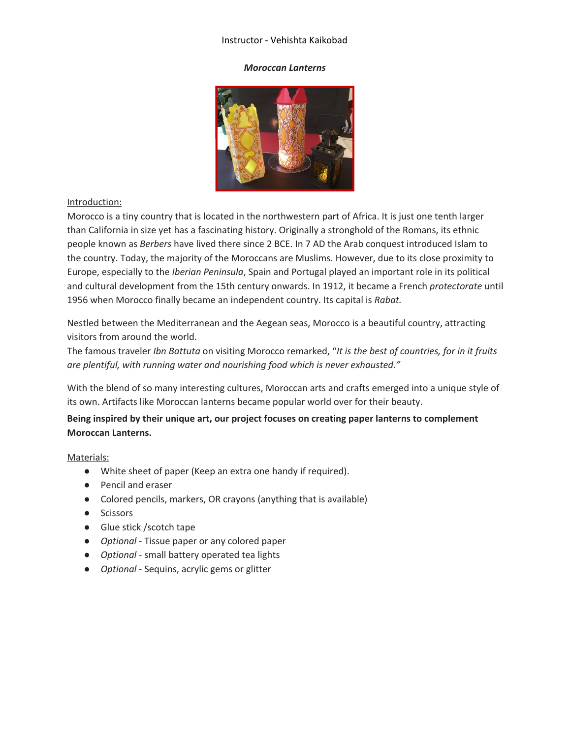## Instructor - Vehishta Kaikobad

### *Moroccan Lanterns*



## Introduction:

Morocco is a tiny country that is located in the northwestern part of Africa. It is just one tenth larger than California in size yet has a fascinating history. Originally a stronghold of the Romans, its ethnic people known as *Berbers* have lived there since 2 BCE. In 7 AD the Arab conquest introduced Islam to the country. Today, the majority of the Moroccans are Muslims. However, due to its close proximity to Europe, especially to the *Iberian Peninsula*, Spain and Portugal played an important role in its political and cultural development from the 15th century onwards. In 1912, it became a French *protectorate* until 1956 when Morocco finally became an independent country. Its capital is *Rabat.*

Nestled between the Mediterranean and the Aegean seas, Morocco is a beautiful country, attracting visitors from around the world.

The famous traveler *Ibn Battuta* on visiting Morocco remarked, "*It is the best of countries, for in it fruits are plentiful, with running water and nourishing food which is never exhausted."*

With the blend of so many interesting cultures, Moroccan arts and crafts emerged into a unique style of its own. Artifacts like Moroccan lanterns became popular world over for their beauty.

# **Being inspired by their unique art, our project focuses on creating paper lanterns to complement Moroccan Lanterns.**

## Materials:

- White sheet of paper (Keep an extra one handy if required).
- Pencil and eraser
- Colored pencils, markers, OR crayons (anything that is available)
- Scissors
- Glue stick /scotch tape
- *Optional* Tissue paper or any colored paper
- *Optional* small battery operated tea lights
- *Optional* Sequins, acrylic gems or glitter